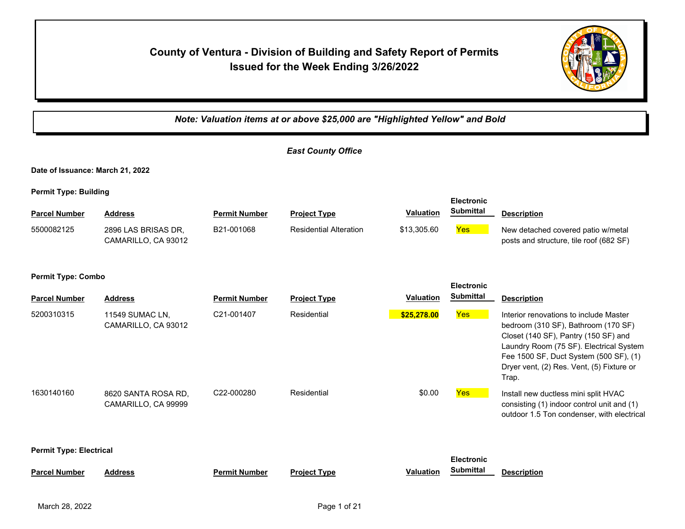# **County of Ventura - Division of Building and Safety Report of Permits Issued for the Week Ending 3/26/2022**



*Note: Valuation items at or above \$25,000 are "Highlighted Yellow" and Bold*

|                                                |                                            |                      | <b>East County Office</b>     |                  |                                       |                                                                                                                                                                                                                                                                  |  |  |  |
|------------------------------------------------|--------------------------------------------|----------------------|-------------------------------|------------------|---------------------------------------|------------------------------------------------------------------------------------------------------------------------------------------------------------------------------------------------------------------------------------------------------------------|--|--|--|
| Date of Issuance: March 21, 2022               |                                            |                      |                               |                  |                                       |                                                                                                                                                                                                                                                                  |  |  |  |
| <b>Permit Type: Building</b>                   |                                            |                      |                               |                  | <b>Electronic</b>                     |                                                                                                                                                                                                                                                                  |  |  |  |
| <b>Parcel Number</b>                           | <b>Address</b>                             | <b>Permit Number</b> | <b>Project Type</b>           | <b>Valuation</b> | <b>Submittal</b>                      | <b>Description</b>                                                                                                                                                                                                                                               |  |  |  |
| 5500082125                                     | 2896 LAS BRISAS DR.<br>CAMARILLO, CA 93012 | B21-001068           | <b>Residential Alteration</b> | \$13,305.60      | <b>Yes</b>                            | New detached covered patio w/metal<br>posts and structure, tile roof (682 SF)                                                                                                                                                                                    |  |  |  |
| <b>Permit Type: Combo</b><br><b>Electronic</b> |                                            |                      |                               |                  |                                       |                                                                                                                                                                                                                                                                  |  |  |  |
| <b>Parcel Number</b>                           | <b>Address</b>                             | <b>Permit Number</b> | <b>Project Type</b>           | <b>Valuation</b> | <b>Submittal</b>                      | <b>Description</b>                                                                                                                                                                                                                                               |  |  |  |
| 5200310315                                     | 11549 SUMAC LN,<br>CAMARILLO, CA 93012     | C21-001407           | Residential                   | \$25,278.00      | <b>Yes</b>                            | Interior renovations to include Master<br>bedroom (310 SF), Bathroom (170 SF)<br>Closet (140 SF), Pantry (150 SF) and<br>Laundry Room (75 SF). Electrical System<br>Fee 1500 SF, Duct System (500 SF), (1)<br>Dryer vent, (2) Res. Vent, (5) Fixture or<br>Trap. |  |  |  |
| 1630140160                                     | 8620 SANTA ROSA RD,<br>CAMARILLO, CA 99999 | C22-000280           | Residential                   | \$0.00           | <b>Yes</b>                            | Install new ductless mini split HVAC<br>consisting (1) indoor control unit and (1)<br>outdoor 1.5 Ton condenser, with electrical                                                                                                                                 |  |  |  |
| <b>Permit Type: Electrical</b>                 |                                            |                      |                               |                  |                                       |                                                                                                                                                                                                                                                                  |  |  |  |
| <b>Parcel Number</b>                           | <b>Address</b>                             | <b>Permit Number</b> | <b>Project Type</b>           | <b>Valuation</b> | <b>Electronic</b><br><b>Submittal</b> | <b>Description</b>                                                                                                                                                                                                                                               |  |  |  |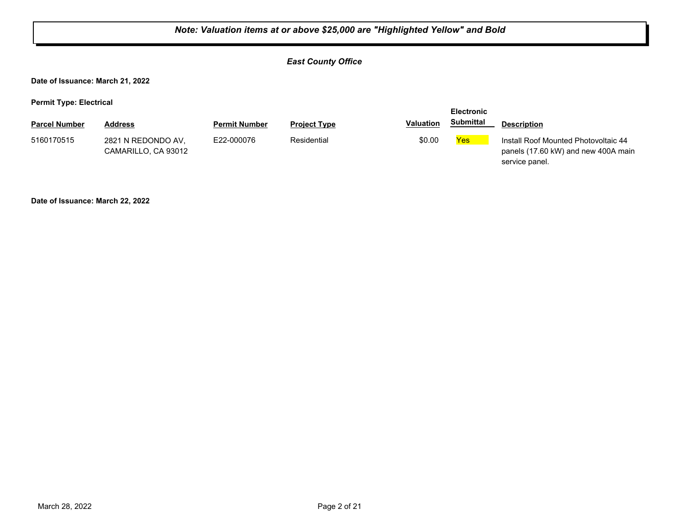## *East County Office*

**Date of Issuance: March 21, 2022**

**Permit Type: Electrical**

| . .                  |                                           |                      |                     |                  | <b>Electronic</b> |                                                                                               |
|----------------------|-------------------------------------------|----------------------|---------------------|------------------|-------------------|-----------------------------------------------------------------------------------------------|
| <b>Parcel Number</b> | <b>Address</b>                            | <b>Permit Number</b> | <b>Project Type</b> | <b>Valuation</b> | <b>Submittal</b>  | <b>Description</b>                                                                            |
| 5160170515           | 2821 N REDONDO AV.<br>CAMARILLO, CA 93012 | E22-000076           | Residential         | \$0.00           | <b>Yes</b>        | Install Roof Mounted Photovoltaic 44<br>panels (17.60 kW) and new 400A main<br>service panel. |

**Date of Issuance: March 22, 2022**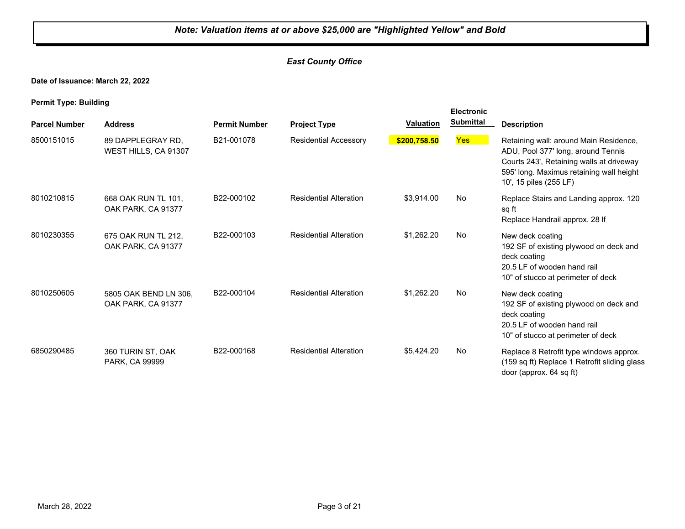## *East County Office*

**Date of Issuance: March 22, 2022**

|                      |                                             |                      |                               |                  | <b>Electronic</b> |                                                                                                                                                                                                |
|----------------------|---------------------------------------------|----------------------|-------------------------------|------------------|-------------------|------------------------------------------------------------------------------------------------------------------------------------------------------------------------------------------------|
| <b>Parcel Number</b> | <b>Address</b>                              | <b>Permit Number</b> | <b>Project Type</b>           | <b>Valuation</b> | <b>Submittal</b>  | <b>Description</b>                                                                                                                                                                             |
| 8500151015           | 89 DAPPLEGRAY RD,<br>WEST HILLS, CA 91307   | B21-001078           | <b>Residential Accessory</b>  | \$200,758.50     | Yes <sup>1</sup>  | Retaining wall: around Main Residence,<br>ADU, Pool 377' long, around Tennis<br>Courts 243', Retaining walls at driveway<br>595' long. Maximus retaining wall height<br>10', 15 piles (255 LF) |
| 8010210815           | 668 OAK RUN TL 101.<br>OAK PARK, CA 91377   | B22-000102           | <b>Residential Alteration</b> | \$3,914.00       | No                | Replace Stairs and Landing approx. 120<br>sq ft<br>Replace Handrail approx. 28 If                                                                                                              |
| 8010230355           | 675 OAK RUN TL 212.<br>OAK PARK, CA 91377   | B22-000103           | <b>Residential Alteration</b> | \$1,262.20       | No                | New deck coating<br>192 SF of existing plywood on deck and<br>deck coating<br>20.5 LF of wooden hand rail<br>10" of stucco at perimeter of deck                                                |
| 8010250605           | 5805 OAK BEND LN 306,<br>OAK PARK, CA 91377 | B22-000104           | <b>Residential Alteration</b> | \$1,262.20       | No                | New deck coating<br>192 SF of existing plywood on deck and<br>deck coating<br>20.5 LF of wooden hand rail<br>10" of stucco at perimeter of deck                                                |
| 6850290485           | 360 TURIN ST, OAK<br>PARK, CA 99999         | B22-000168           | <b>Residential Alteration</b> | \$5,424.20       | No                | Replace 8 Retrofit type windows approx.<br>(159 sq ft) Replace 1 Retrofit sliding glass<br>door (approx. 64 sq ft)                                                                             |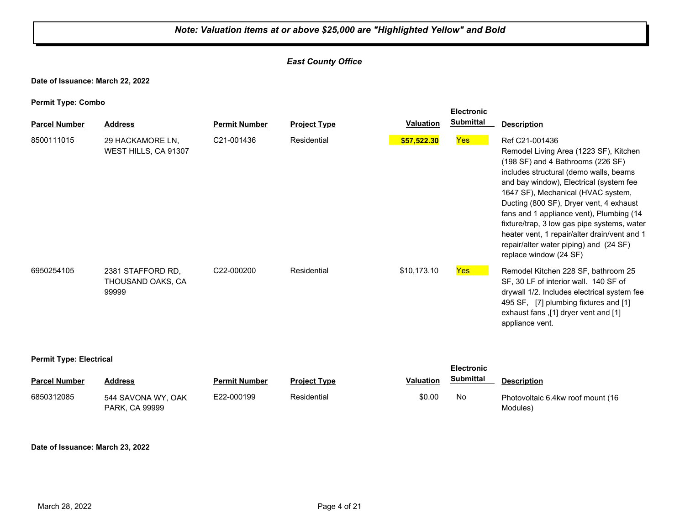## *East County Office*

**Date of Issuance: March 22, 2022**

**Permit Type: Combo**

|                      |                                                 |                      |                     |             | <b>Electronic</b> |                                                                                                                                                                                                                                                                                                                                                                                                                                                                                    |
|----------------------|-------------------------------------------------|----------------------|---------------------|-------------|-------------------|------------------------------------------------------------------------------------------------------------------------------------------------------------------------------------------------------------------------------------------------------------------------------------------------------------------------------------------------------------------------------------------------------------------------------------------------------------------------------------|
| <b>Parcel Number</b> | <b>Address</b>                                  | <b>Permit Number</b> | <b>Project Type</b> | Valuation   | <b>Submittal</b>  | <b>Description</b>                                                                                                                                                                                                                                                                                                                                                                                                                                                                 |
| 8500111015           | 29 HACKAMORE LN,<br>WEST HILLS, CA 91307        | C21-001436           | Residential         | \$57,522.30 | Yes               | Ref C21-001436<br>Remodel Living Area (1223 SF), Kitchen<br>(198 SF) and 4 Bathrooms (226 SF)<br>includes structural (demo walls, beams<br>and bay window), Electrical (system fee<br>1647 SF), Mechanical (HVAC system,<br>Ducting (800 SF), Dryer vent, 4 exhaust<br>fans and 1 appliance vent), Plumbing (14<br>fixture/trap, 3 low gas pipe systems, water<br>heater vent, 1 repair/alter drain/vent and 1<br>repair/alter water piping) and (24 SF)<br>replace window (24 SF) |
| 6950254105           | 2381 STAFFORD RD,<br>THOUSAND OAKS, CA<br>99999 | C22-000200           | Residential         | \$10,173.10 | <b>Yes</b>        | Remodel Kitchen 228 SF, bathroom 25<br>SF, 30 LF of interior wall. 140 SF of<br>drywall 1/2. Includes electrical system fee<br>495 SF, [7] plumbing fixtures and [1]<br>exhaust fans ,[1] dryer vent and [1]<br>appliance vent.                                                                                                                                                                                                                                                    |

#### **Permit Type: Electrical**

| . .                  |                                      |                      |                     |                  | <b>Electronic</b> |                                               |  |
|----------------------|--------------------------------------|----------------------|---------------------|------------------|-------------------|-----------------------------------------------|--|
| <b>Parcel Number</b> | Address                              | <b>Permit Number</b> | <b>Project Type</b> | <b>Valuation</b> | Submittal         | <b>Description</b>                            |  |
| 6850312085           | 544 SAVONA WY, OAK<br>PARK, CA 99999 | E22-000199           | Residential         | \$0.00           | No                | Photovoltaic 6.4kw roof mount (16<br>Modules) |  |

#### **Date of Issuance: March 23, 2022**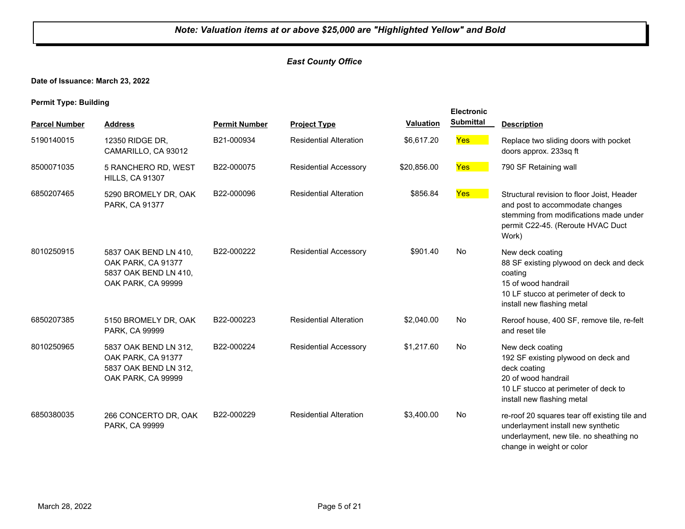## *East County Office*

**Date of Issuance: March 23, 2022**

| <b>Parcel Number</b> | <b>Address</b>                                                                             | <b>Permit Number</b> | <b>Project Type</b>           | <b>Valuation</b> | <b>Electronic</b><br><b>Submittal</b> | <b>Description</b>                                                                                                                                                    |
|----------------------|--------------------------------------------------------------------------------------------|----------------------|-------------------------------|------------------|---------------------------------------|-----------------------------------------------------------------------------------------------------------------------------------------------------------------------|
|                      |                                                                                            |                      |                               |                  |                                       |                                                                                                                                                                       |
| 5190140015           | 12350 RIDGE DR.<br>CAMARILLO, CA 93012                                                     | B21-000934           | <b>Residential Alteration</b> | \$6,617.20       | <b>Yes</b>                            | Replace two sliding doors with pocket<br>doors approx. 233sq ft                                                                                                       |
| 8500071035           | 5 RANCHERO RD, WEST<br><b>HILLS, CA 91307</b>                                              | B22-000075           | <b>Residential Accessory</b>  | \$20,856.00      | <b>Yes</b>                            | 790 SF Retaining wall                                                                                                                                                 |
| 6850207465           | 5290 BROMELY DR, OAK<br>PARK, CA 91377                                                     | B22-000096           | <b>Residential Alteration</b> | \$856.84         | Yes                                   | Structural revision to floor Joist. Header<br>and post to accommodate changes<br>stemming from modifications made under<br>permit C22-45. (Reroute HVAC Duct<br>Work) |
| 8010250915           | 5837 OAK BEND LN 410.<br>OAK PARK, CA 91377<br>5837 OAK BEND LN 410.<br>OAK PARK, CA 99999 | B22-000222           | <b>Residential Accessory</b>  | \$901.40         | <b>No</b>                             | New deck coating<br>88 SF existing plywood on deck and deck<br>coating<br>15 of wood handrail<br>10 LF stucco at perimeter of deck to<br>install new flashing metal   |
| 6850207385           | 5150 BROMELY DR, OAK<br>PARK, CA 99999                                                     | B22-000223           | <b>Residential Alteration</b> | \$2,040.00       | No                                    | Reroof house, 400 SF, remove tile, re-felt<br>and reset tile                                                                                                          |
| 8010250965           | 5837 OAK BEND LN 312.<br>OAK PARK, CA 91377<br>5837 OAK BEND LN 312.<br>OAK PARK, CA 99999 | B22-000224           | <b>Residential Accessory</b>  | \$1,217.60       | <b>No</b>                             | New deck coating<br>192 SF existing plywood on deck and<br>deck coating<br>20 of wood handrail<br>10 LF stucco at perimeter of deck to<br>install new flashing metal  |
| 6850380035           | 266 CONCERTO DR, OAK<br>PARK, CA 99999                                                     | B22-000229           | <b>Residential Alteration</b> | \$3,400.00       | No                                    | re-roof 20 squares tear off existing tile and<br>underlayment install new synthetic<br>underlayment, new tile. no sheathing no<br>change in weight or color           |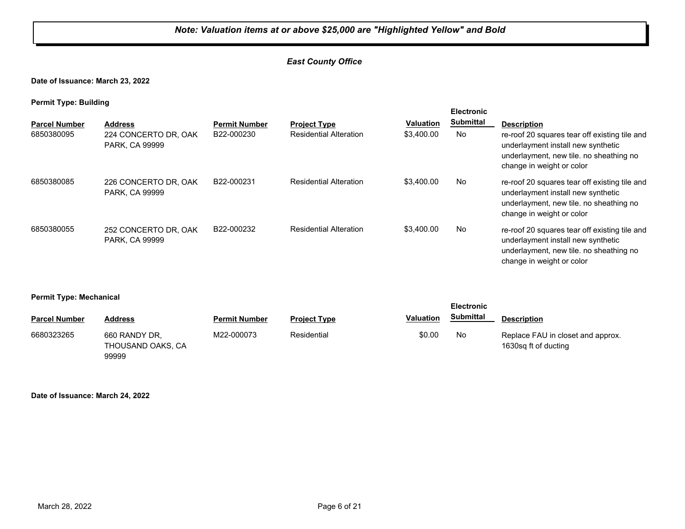## *East County Office*

**Date of Issuance: March 23, 2022**

**Permit Type: Building**

| . .                  |                                               |                      |                               |                  | <b>Electronic</b> |                                                                                                                                                             |
|----------------------|-----------------------------------------------|----------------------|-------------------------------|------------------|-------------------|-------------------------------------------------------------------------------------------------------------------------------------------------------------|
| <b>Parcel Number</b> | <b>Address</b>                                | <b>Permit Number</b> | <b>Project Type</b>           | <b>Valuation</b> | <b>Submittal</b>  | <b>Description</b>                                                                                                                                          |
| 6850380095           | 224 CONCERTO DR, OAK<br>PARK, CA 99999        | B22-000230           | <b>Residential Alteration</b> | \$3,400.00       | No.               | re-roof 20 squares tear off existing tile and<br>underlayment install new synthetic<br>underlayment, new tile, no sheathing no<br>change in weight or color |
| 6850380085           | 226 CONCERTO DR, OAK<br><b>PARK, CA 99999</b> | B22-000231           | <b>Residential Alteration</b> | \$3,400.00       | No                | re-roof 20 squares tear off existing tile and<br>underlayment install new synthetic<br>underlayment, new tile. no sheathing no<br>change in weight or color |
| 6850380055           | 252 CONCERTO DR, OAK<br>PARK, CA 99999        | B22-000232           | <b>Residential Alteration</b> | \$3,400.00       | No                | re-roof 20 squares tear off existing tile and<br>underlayment install new synthetic<br>underlayment, new tile. no sheathing no<br>change in weight or color |

#### **Permit Type: Mechanical**

| .                    |                                             | <b>Electronic</b>    |                     |                  |                  |                                                           |
|----------------------|---------------------------------------------|----------------------|---------------------|------------------|------------------|-----------------------------------------------------------|
| <b>Parcel Number</b> | <b>Address</b>                              | <b>Permit Number</b> | <b>Project Type</b> | <b>Valuation</b> | <b>Submittal</b> | <b>Description</b>                                        |
| 6680323265           | 660 RANDY DR.<br>THOUSAND OAKS, CA<br>99999 | M22-000073           | Residential         | \$0.00           | No               | Replace FAU in closet and approx.<br>1630sg ft of ducting |

#### **Date of Issuance: March 24, 2022**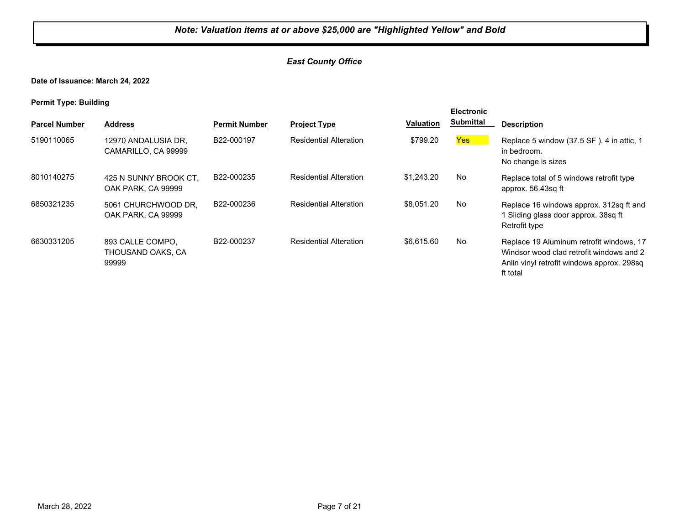## *East County Office*

**Date of Issuance: March 24, 2022**

| <b>Parcel Number</b> | <b>Address</b>                                 | <b>Permit Number</b> | <b>Project Type</b>           | <b>Valuation</b> | <b>Electronic</b><br><b>Submittal</b> | <b>Description</b>                                                                                                                             |
|----------------------|------------------------------------------------|----------------------|-------------------------------|------------------|---------------------------------------|------------------------------------------------------------------------------------------------------------------------------------------------|
| 5190110065           | 12970 ANDALUSIA DR.<br>CAMARILLO, CA 99999     | B22-000197           | <b>Residential Alteration</b> | \$799.20         | <b>Yes</b>                            | Replace 5 window (37.5 SF). 4 in attic, 1<br>in bedroom.<br>No change is sizes                                                                 |
| 8010140275           | 425 N SUNNY BROOK CT.<br>OAK PARK, CA 99999    | B22-000235           | <b>Residential Alteration</b> | \$1.243.20       | No                                    | Replace total of 5 windows retrofit type<br>approx. 56.43sq ft                                                                                 |
| 6850321235           | 5061 CHURCHWOOD DR,<br>OAK PARK, CA 99999      | B22-000236           | <b>Residential Alteration</b> | \$8.051.20       | No                                    | Replace 16 windows approx. 312sq ft and<br>1 Sliding glass door approx. 38sq ft<br>Retrofit type                                               |
| 6630331205           | 893 CALLE COMPO.<br>THOUSAND OAKS, CA<br>99999 | B22-000237           | <b>Residential Alteration</b> | \$6.615.60       | No                                    | Replace 19 Aluminum retrofit windows, 17<br>Windsor wood clad retrofit windows and 2<br>Anlin vinyl retrofit windows approx. 298sq<br>ft total |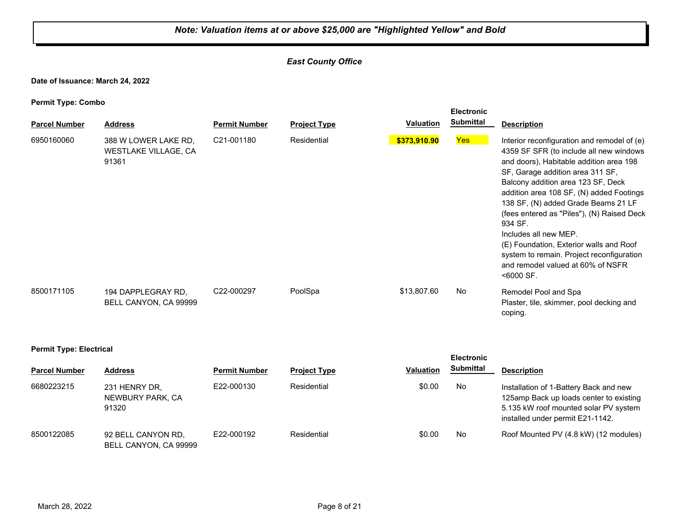## *East County Office*

**Date of Issuance: March 24, 2022**

**Permit Type: Combo**

| . .<br><b>Parcel Number</b> | <b>Address</b>                                        | <b>Permit Number</b> | <b>Project Type</b> | <b>Valuation</b> | <b>Electronic</b><br><b>Submittal</b> | <b>Description</b>                                                                                                                                                                                                                                                                                                                                                                                                                                                                                                            |
|-----------------------------|-------------------------------------------------------|----------------------|---------------------|------------------|---------------------------------------|-------------------------------------------------------------------------------------------------------------------------------------------------------------------------------------------------------------------------------------------------------------------------------------------------------------------------------------------------------------------------------------------------------------------------------------------------------------------------------------------------------------------------------|
| 6950160060                  | 388 W LOWER LAKE RD.<br>WESTLAKE VILLAGE, CA<br>91361 | C21-001180           | Residential         | \$373,910.90     | <b>Yes</b>                            | Interior reconfiguration and remodel of (e)<br>4359 SF SFR (to include all new windows<br>and doors), Habitable addition area 198<br>SF, Garage addition area 311 SF,<br>Balcony addition area 123 SF, Deck<br>addition area 108 SF, (N) added Footings<br>138 SF, (N) added Grade Beams 21 LF<br>(fees entered as "Piles"), (N) Raised Deck<br>934 SF.<br>Includes all new MEP.<br>(E) Foundation, Exterior walls and Roof<br>system to remain. Project reconfiguration<br>and remodel valued at 60% of NSFR<br>$< 6000$ SF. |
| 8500171105                  | 194 DAPPLEGRAY RD.<br>BELL CANYON, CA 99999           | C22-000297           | PoolSpa             | \$13,807.60      | No                                    | Remodel Pool and Spa<br>Plaster, tile, skimmer, pool decking and<br>coping.                                                                                                                                                                                                                                                                                                                                                                                                                                                   |

#### **Permit Type: Electrical**

|                      |                                             |                      |                     |                  | <b>Electronic</b> |                                                                                                                                                                |
|----------------------|---------------------------------------------|----------------------|---------------------|------------------|-------------------|----------------------------------------------------------------------------------------------------------------------------------------------------------------|
| <b>Parcel Number</b> | <b>Address</b>                              | <b>Permit Number</b> | <b>Project Type</b> | <b>Valuation</b> | <b>Submittal</b>  | <b>Description</b>                                                                                                                                             |
| 6680223215           | 231 HENRY DR.<br>NEWBURY PARK, CA<br>91320  | E22-000130           | Residential         | \$0.00           | No                | Installation of 1-Battery Back and new<br>125amp Back up loads center to existing<br>5.135 kW roof mounted solar PV system<br>installed under permit E21-1142. |
| 8500122085           | 92 BELL CANYON RD,<br>BELL CANYON, CA 99999 | E22-000192           | Residential         | \$0.00           | No                | Roof Mounted PV (4.8 kW) (12 modules)                                                                                                                          |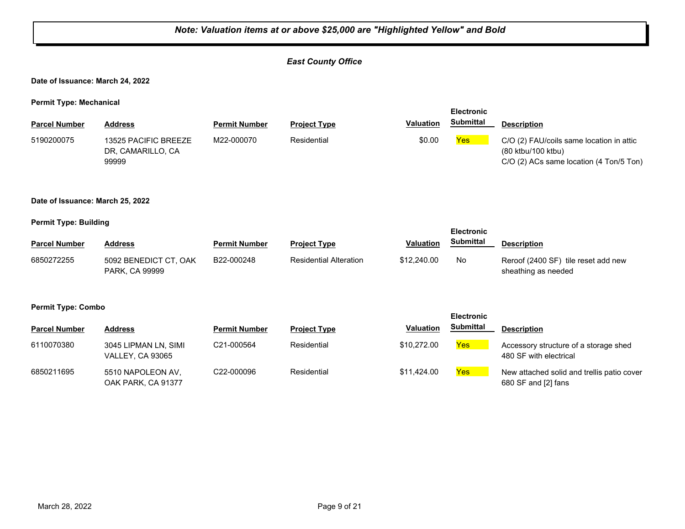## *East County Office*

**Date of Issuance: March 24, 2022**

**Permit Type: Mechanical**

|                      |                                                    |                      |                     |                  | <b>Electronic</b> |                                                                                                           |
|----------------------|----------------------------------------------------|----------------------|---------------------|------------------|-------------------|-----------------------------------------------------------------------------------------------------------|
| <b>Parcel Number</b> | Address                                            | <b>Permit Number</b> | <b>Project Type</b> | <b>Valuation</b> | Submittal         | <b>Description</b>                                                                                        |
| 5190200075           | 13525 PACIFIC BREEZE<br>DR, CAMARILLO, CA<br>99999 | M22-000070           | Residential         | \$0.00           | Yes               | C/O (2) FAU/coils same location in attic<br>(80 ktbu/100 ktbu)<br>C/O (2) ACs same location (4 Ton/5 Ton) |

#### **Date of Issuance: March 25, 2022**

#### **Permit Type: Building**

| . .                  |                                         |                      |                               |                  | <b>Electronic</b> |                                                            |
|----------------------|-----------------------------------------|----------------------|-------------------------------|------------------|-------------------|------------------------------------------------------------|
| <b>Parcel Number</b> | <b>Address</b>                          | <b>Permit Number</b> | <b>Project Type</b>           | <b>Valuation</b> | <b>Submittal</b>  | <b>Description</b>                                         |
| 6850272255           | 5092 BENEDICT CT, OAK<br>PARK, CA 99999 | B22-000248           | <b>Residential Alteration</b> | \$12,240.00      | No.               | Reroof (2400 SF) tile reset add new<br>sheathing as needed |

#### **Permit Type: Combo**

| <b>Parcel Number</b> | <b>Address</b>                                  | <b>Permit Number</b>    | <b>Project Type</b> | <b>Valuation</b> | <b>Submittal</b> | <b>Description</b>                                                |
|----------------------|-------------------------------------------------|-------------------------|---------------------|------------------|------------------|-------------------------------------------------------------------|
| 6110070380           | 3045 LIPMAN LN, SIMI<br><b>VALLEY, CA 93065</b> | C21-000564              | Residential         | \$10,272.00      | Yes              | Accessory structure of a storage shed<br>480 SF with electrical   |
| 6850211695           | 5510 NAPOLEON AV.<br>OAK PARK, CA 91377         | C <sub>22</sub> -000096 | Residential         | \$11,424,00      | Yes              | New attached solid and trellis patio cover<br>680 SF and [2] fans |

**Electronic**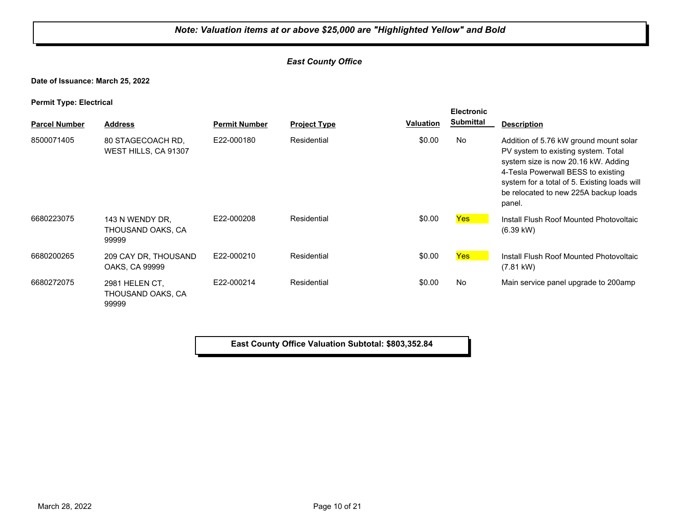## *East County Office*

**Date of Issuance: March 25, 2022**

**Permit Type: Electrical**

| . .                  |                                               |                      |                     |           | <b>Electronic</b> |                                                                                                                                                                                                                                                               |
|----------------------|-----------------------------------------------|----------------------|---------------------|-----------|-------------------|---------------------------------------------------------------------------------------------------------------------------------------------------------------------------------------------------------------------------------------------------------------|
| <b>Parcel Number</b> | <b>Address</b>                                | <b>Permit Number</b> | <b>Project Type</b> | Valuation | <b>Submittal</b>  | <b>Description</b>                                                                                                                                                                                                                                            |
| 8500071405           | 80 STAGECOACH RD.<br>WEST HILLS, CA 91307     | E22-000180           | Residential         | \$0.00    | <b>No</b>         | Addition of 5.76 kW ground mount solar<br>PV system to existing system. Total<br>system size is now 20.16 kW. Adding<br>4-Tesla Powerwall BESS to existing<br>system for a total of 5. Existing loads will<br>be relocated to new 225A backup loads<br>panel. |
| 6680223075           | 143 N WENDY DR.<br>THOUSAND OAKS, CA<br>99999 | E22-000208           | Residential         | \$0.00    | <b>Yes</b>        | Install Flush Roof Mounted Photovoltaic<br>$(6.39 \text{ kW})$                                                                                                                                                                                                |
| 6680200265           | 209 CAY DR, THOUSAND<br>OAKS, CA 99999        | E22-000210           | Residential         | \$0.00    | <b>Yes</b>        | Install Flush Roof Mounted Photovoltaic<br>(7.81 kW)                                                                                                                                                                                                          |
| 6680272075           | 2981 HELEN CT.<br>THOUSAND OAKS, CA<br>99999  | E22-000214           | Residential         | \$0.00    | <b>No</b>         | Main service panel upgrade to 200amp                                                                                                                                                                                                                          |

**East County Office Valuation Subtotal: \$803,352.84**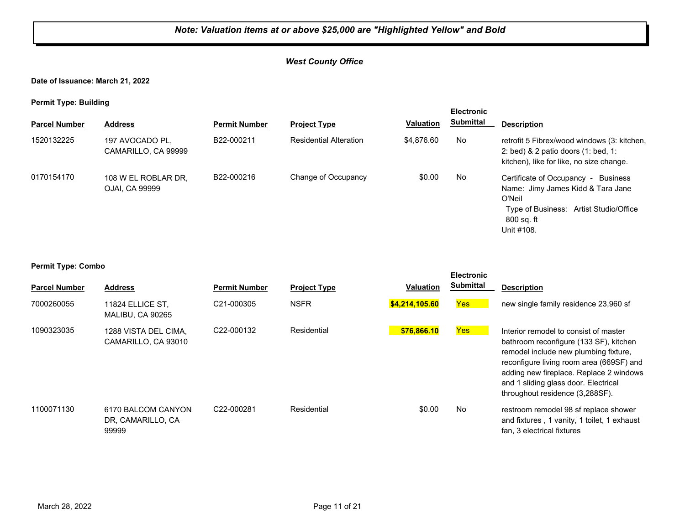## *West County Office*

**Date of Issuance: March 21, 2022**

**Permit Type: Building**

| . .                  |                                        |                      |                               |                  | <b>Electronic</b> |                                                                                                                                                             |
|----------------------|----------------------------------------|----------------------|-------------------------------|------------------|-------------------|-------------------------------------------------------------------------------------------------------------------------------------------------------------|
| <b>Parcel Number</b> | <b>Address</b>                         | <b>Permit Number</b> | <b>Project Type</b>           | <b>Valuation</b> | Submittal         | <b>Description</b>                                                                                                                                          |
| 1520132225           | 197 AVOCADO PL,<br>CAMARILLO, CA 99999 | B22-000211           | <b>Residential Alteration</b> | \$4.876.60       | No                | retrofit 5 Fibrex/wood windows (3: kitchen,<br>2: bed) $& 2$ patio doors (1: bed, 1:<br>kitchen), like for like, no size change.                            |
| 0170154170           | 108 W EL ROBLAR DR,<br>OJAI, CA 99999  | B22-000216           | Change of Occupancy           | \$0.00           | No                | Certificate of Occupancy -<br>Business<br>Name: Jimy James Kidd & Tara Jane<br>O'Neil<br>Type of Business: Artist Studio/Office<br>800 sq. ft<br>Unit #108. |

#### **Permit Type: Combo**

| <b>Parcel Number</b> | <b>Address</b>                                   | <b>Permit Number</b>    | <b>Project Type</b> | <b>Valuation</b> | <b>Electronic</b><br>Submittal | <b>Description</b>                                                                                                                                                                                                                                                                         |
|----------------------|--------------------------------------------------|-------------------------|---------------------|------------------|--------------------------------|--------------------------------------------------------------------------------------------------------------------------------------------------------------------------------------------------------------------------------------------------------------------------------------------|
| 7000260055           | 11824 ELLICE ST,<br>MALIBU, CA 90265             | C21-000305              | <b>NSFR</b>         | \$4,214,105.60   | <b>Yes</b>                     | new single family residence 23,960 sf                                                                                                                                                                                                                                                      |
| 1090323035           | 1288 VISTA DEL CIMA.<br>CAMARILLO, CA 93010      | C <sub>22</sub> -000132 | Residential         | \$76,866.10      | <b>Yes</b>                     | Interior remodel to consist of master<br>bathroom reconfigure (133 SF), kitchen<br>remodel include new plumbing fixture,<br>reconfigure living room area (669SF) and<br>adding new fireplace. Replace 2 windows<br>and 1 sliding glass door. Electrical<br>throughout residence (3,288SF). |
| 1100071130           | 6170 BALCOM CANYON<br>DR, CAMARILLO, CA<br>99999 | C22-000281              | Residential         | \$0.00           | No                             | restroom remodel 98 sf replace shower<br>and fixtures, 1 vanity, 1 toilet, 1 exhaust<br>fan, 3 electrical fixtures                                                                                                                                                                         |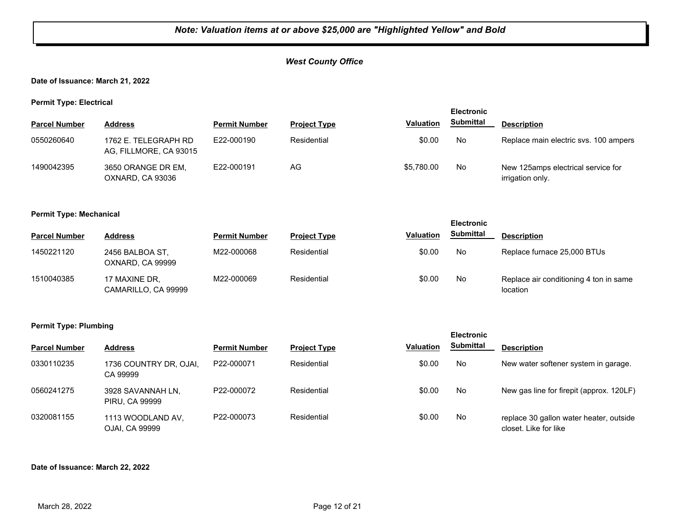## *West County Office*

## **Date of Issuance: March 21, 2022**

**Permit Type: Electrical**

| . .                  |                                                |                      |                     |                  | <b>Electronic</b> |                                                         |
|----------------------|------------------------------------------------|----------------------|---------------------|------------------|-------------------|---------------------------------------------------------|
| <b>Parcel Number</b> | <b>Address</b>                                 | <b>Permit Number</b> | <b>Project Type</b> | <b>Valuation</b> | <b>Submittal</b>  | <b>Description</b>                                      |
| 0550260640           | 1762 E. TELEGRAPH RD<br>AG, FILLMORE, CA 93015 | E22-000190           | Residential         | \$0.00           | No.               | Replace main electric sys. 100 ampers                   |
| 1490042395           | 3650 ORANGE DR EM,<br>OXNARD, CA 93036         | E22-000191           | AG                  | \$5.780.00       | No.               | New 125 amps electrical service for<br>irrigation only. |

#### **Permit Type: Mechanical**

| --                   |                                      |                      |                     |                  | <b>Electronic</b> |                                                    |
|----------------------|--------------------------------------|----------------------|---------------------|------------------|-------------------|----------------------------------------------------|
| <b>Parcel Number</b> | <b>Address</b>                       | <b>Permit Number</b> | <b>Project Type</b> | <b>Valuation</b> | <b>Submittal</b>  | <b>Description</b>                                 |
| 1450221120           | 2456 BALBOA ST,<br>OXNARD, CA 99999  | M22-000068           | Residential         | \$0.00           | No                | Replace furnace 25,000 BTUs                        |
| 1510040385           | 17 MAXINE DR.<br>CAMARILLO, CA 99999 | M22-000069           | Residential         | \$0.00           | No                | Replace air conditioning 4 ton in same<br>location |

#### **Permit Type: Plumbing**

|                      |                                            |                         |                     |                  | --------         |                                                                  |
|----------------------|--------------------------------------------|-------------------------|---------------------|------------------|------------------|------------------------------------------------------------------|
| <b>Parcel Number</b> | <b>Address</b>                             | <b>Permit Number</b>    | <b>Project Type</b> | <b>Valuation</b> | <b>Submittal</b> | <b>Description</b>                                               |
| 0330110235           | 1736 COUNTRY DR, OJAI,<br>CA 99999         | P22-000071              | Residential         | \$0.00           | No               | New water softener system in garage.                             |
| 0560241275           | 3928 SAVANNAH LN,<br><b>PIRU, CA 99999</b> | P22-000072              | Residential         | \$0.00           | No               | New gas line for firepit (approx. 120LF)                         |
| 0320081155           | 1113 WOODLAND AV.<br>OJAI, CA 99999        | P <sub>22</sub> -000073 | Residential         | \$0.00           | No               | replace 30 gallon water heater, outside<br>closet. Like for like |

**Electronic** 

#### **Date of Issuance: March 22, 2022**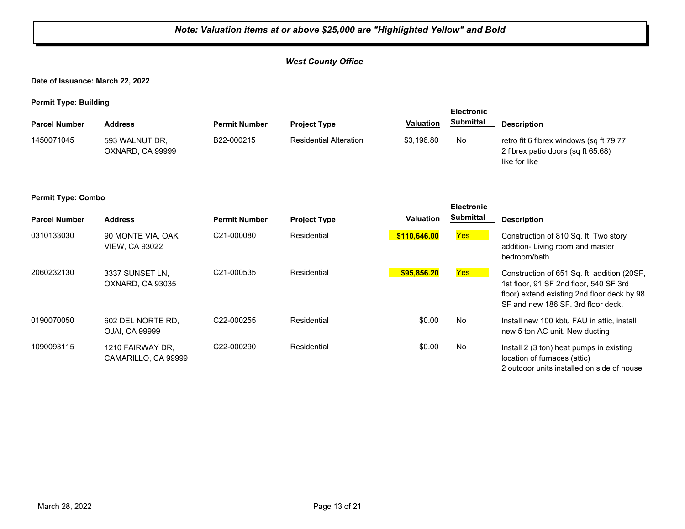## *West County Office*

**Date of Issuance: March 22, 2022**

**Permit Type: Building**

| . .                  | . .                                |                      |                               |                  | <b>Electronic</b> |                                                                                                |
|----------------------|------------------------------------|----------------------|-------------------------------|------------------|-------------------|------------------------------------------------------------------------------------------------|
| <b>Parcel Number</b> | <b>Address</b>                     | <b>Permit Number</b> | <b>Project Type</b>           | <b>Valuation</b> | <b>Submittal</b>  | <b>Description</b>                                                                             |
| 1450071045           | 593 WALNUT DR.<br>OXNARD, CA 99999 | B22-000215           | <b>Residential Alteration</b> | \$3.196.80       | No.               | retro fit 6 fibrex windows (sq ft 79.77<br>2 fibrex patio doors (sq ft 65.68)<br>like for like |

#### **Permit Type: Combo**

| <b>Parcel Number</b> | <b>Address</b>                             | <b>Permit Number</b>    | <b>Project Type</b> | <b>Valuation</b> | <b>Electronic</b><br><b>Submittal</b> | <b>Description</b>                                                                                                                                                         |
|----------------------|--------------------------------------------|-------------------------|---------------------|------------------|---------------------------------------|----------------------------------------------------------------------------------------------------------------------------------------------------------------------------|
| 0310133030           | 90 MONTE VIA, OAK<br><b>VIEW, CA 93022</b> | C <sub>21</sub> -000080 | Residential         | \$110,646.00     | <b>Yes</b>                            | Construction of 810 Sq. ft. Two story<br>addition-Living room and master<br>bedroom/bath                                                                                   |
| 2060232130           | 3337 SUNSET LN.<br>OXNARD, CA 93035        | C <sub>21</sub> -000535 | Residential         | \$95,856.20      | <b>Yes</b>                            | Construction of 651 Sq. ft. addition (20SF,<br>1st floor, 91 SF 2nd floor, 540 SF 3rd<br>floor) extend existing 2nd floor deck by 98<br>SF and new 186 SF, 3rd floor deck. |
| 0190070050           | 602 DEL NORTE RD.<br>OJAI, CA 99999        | C <sub>22</sub> -000255 | Residential         | \$0.00           | No                                    | Install new 100 kbtu FAU in attic. install<br>new 5 ton AC unit. New ducting                                                                                               |
| 1090093115           | 1210 FAIRWAY DR,<br>CAMARILLO, CA 99999    | C <sub>22</sub> -000290 | Residential         | \$0.00           | No                                    | Install 2 (3 ton) heat pumps in existing<br>location of furnaces (attic)<br>2 outdoor units installed on side of house                                                     |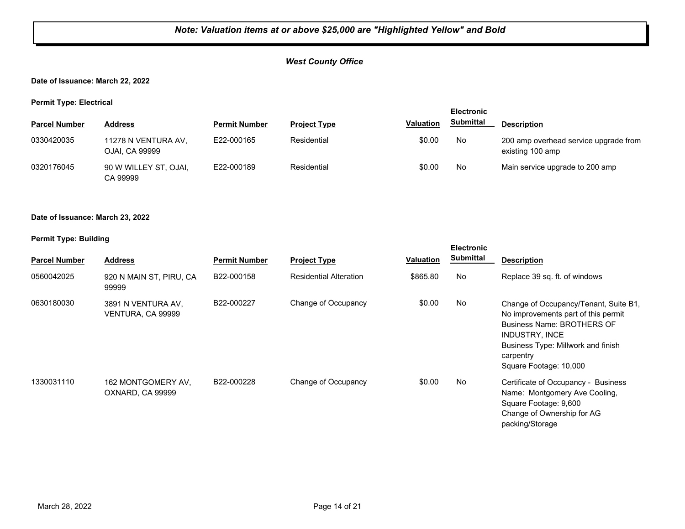## *West County Office*

## **Date of Issuance: March 22, 2022**

**Permit Type: Electrical**

| . .                  |                                       |                      |                     |           | <b>Electronic</b> |                                                           |
|----------------------|---------------------------------------|----------------------|---------------------|-----------|-------------------|-----------------------------------------------------------|
| <b>Parcel Number</b> | <b>Address</b>                        | <b>Permit Number</b> | <b>Project Type</b> | Valuation | <b>Submittal</b>  | <b>Description</b>                                        |
| 0330420035           | 11278 N VENTURA AV.<br>OJAI, CA 99999 | E22-000165           | Residential         | \$0.00    | No                | 200 amp overhead service upgrade from<br>existing 100 amp |
| 0320176045           | 90 W WILLEY ST, OJAI,<br>CA 99999     | E22-000189           | Residential         | \$0.00    | No                | Main service upgrade to 200 amp                           |

#### **Date of Issuance: March 23, 2022**

| <b>Parcel Number</b> | <b>Address</b>                          | <b>Permit Number</b> | <b>Project Type</b>           | Valuation | <b>Electronic</b><br><b>Submittal</b> | <b>Description</b>                                                                                                                                                                                                      |
|----------------------|-----------------------------------------|----------------------|-------------------------------|-----------|---------------------------------------|-------------------------------------------------------------------------------------------------------------------------------------------------------------------------------------------------------------------------|
| 0560042025           | 920 N MAIN ST, PIRU, CA<br>99999        | B22-000158           | <b>Residential Alteration</b> | \$865.80  | No                                    | Replace 39 sq. ft. of windows                                                                                                                                                                                           |
| 0630180030           | 3891 N VENTURA AV,<br>VENTURA, CA 99999 | B22-000227           | Change of Occupancy           | \$0.00    | No.                                   | Change of Occupancy/Tenant, Suite B1,<br>No improvements part of this permit<br><b>Business Name: BROTHERS OF</b><br><b>INDUSTRY, INCE</b><br>Business Type: Millwork and finish<br>carpentry<br>Square Footage: 10,000 |
| 1330031110           | 162 MONTGOMERY AV.<br>OXNARD, CA 99999  | B22-000228           | Change of Occupancy           | \$0.00    | No                                    | Certificate of Occupancy - Business<br>Name: Montgomery Ave Cooling,<br>Square Footage: 9,600<br>Change of Ownership for AG<br>packing/Storage                                                                          |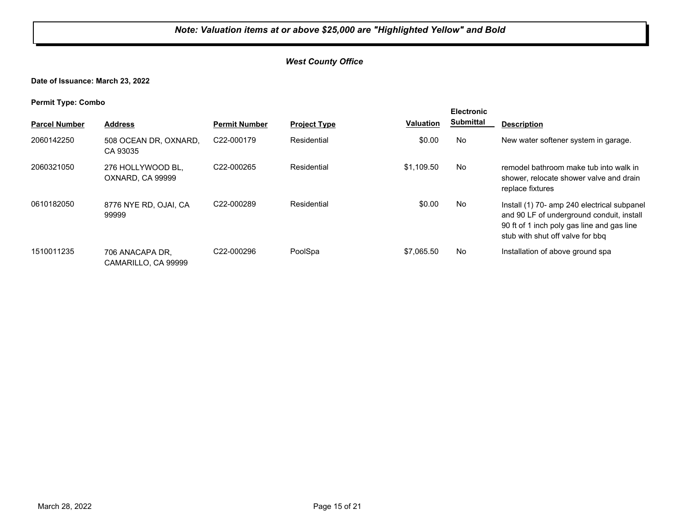## *West County Office*

**Date of Issuance: March 23, 2022**

**Permit Type: Combo**

| . .                  |                                        |                         |                     |                  | <b>Electronic</b> |                                                                                                                                                                            |
|----------------------|----------------------------------------|-------------------------|---------------------|------------------|-------------------|----------------------------------------------------------------------------------------------------------------------------------------------------------------------------|
| <b>Parcel Number</b> | <b>Address</b>                         | <b>Permit Number</b>    | <b>Project Type</b> | <b>Valuation</b> | <b>Submittal</b>  | <b>Description</b>                                                                                                                                                         |
| 2060142250           | 508 OCEAN DR, OXNARD,<br>CA 93035      | C <sub>22</sub> -000179 | Residential         | \$0.00           | No                | New water softener system in garage.                                                                                                                                       |
| 2060321050           | 276 HOLLYWOOD BL.<br>OXNARD, CA 99999  | C <sub>22</sub> -000265 | Residential         | \$1.109.50       | No                | remodel bathroom make tub into walk in<br>shower, relocate shower valve and drain<br>replace fixtures                                                                      |
| 0610182050           | 8776 NYE RD, OJAI, CA<br>99999         | C22-000289              | Residential         | \$0.00           | No                | Install (1) 70- amp 240 electrical subpanel<br>and 90 LF of underground conduit, install<br>90 ft of 1 inch poly gas line and gas line<br>stub with shut off valve for bbg |
| 1510011235           | 706 ANACAPA DR.<br>CAMARILLO, CA 99999 | C <sub>22</sub> -000296 | PoolSpa             | \$7,065.50       | No                | Installation of above ground spa                                                                                                                                           |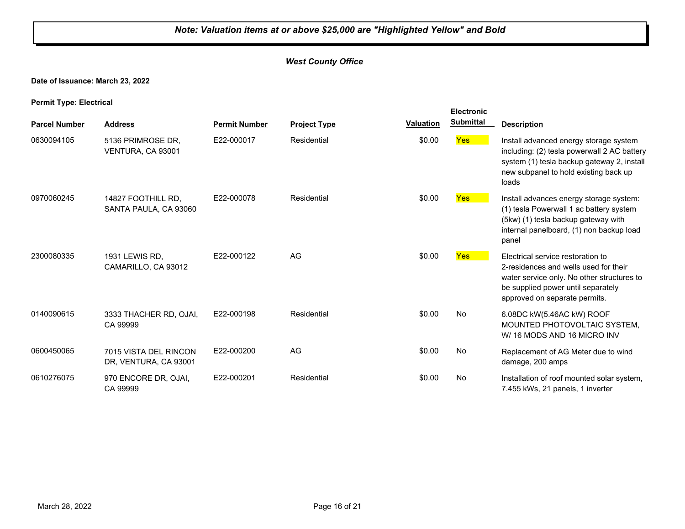## *West County Office*

## **Date of Issuance: March 23, 2022**

**Permit Type: Electrical**

|                      |                                                |                      |                     |                  | <b>Electronic</b> |                                                                                                                                                                                                 |
|----------------------|------------------------------------------------|----------------------|---------------------|------------------|-------------------|-------------------------------------------------------------------------------------------------------------------------------------------------------------------------------------------------|
| <b>Parcel Number</b> | <b>Address</b>                                 | <b>Permit Number</b> | <b>Project Type</b> | <b>Valuation</b> | <b>Submittal</b>  | <b>Description</b>                                                                                                                                                                              |
| 0630094105           | 5136 PRIMROSE DR.<br>VENTURA, CA 93001         | E22-000017           | Residential         | \$0.00           | <b>Yes</b>        | Install advanced energy storage system<br>including: (2) tesla powerwall 2 AC battery<br>system (1) tesla backup gateway 2, install<br>new subpanel to hold existing back up<br>loads           |
| 0970060245           | 14827 FOOTHILL RD.<br>SANTA PAULA, CA 93060    | E22-000078           | Residential         | \$0.00           | <b>Yes</b>        | Install advances energy storage system:<br>(1) tesla Powerwall 1 ac battery system<br>(5kw) (1) tesla backup gateway with<br>internal panelboard, (1) non backup load<br>panel                  |
| 2300080335           | 1931 LEWIS RD.<br>CAMARILLO, CA 93012          | E22-000122           | AG                  | \$0.00           | Yes               | Electrical service restoration to<br>2-residences and wells used for their<br>water service only. No other structures to<br>be supplied power until separately<br>approved on separate permits. |
| 0140090615           | 3333 THACHER RD, OJAI,<br>CA 99999             | E22-000198           | Residential         | \$0.00           | No                | 6.08DC kW(5.46AC kW) ROOF<br>MOUNTED PHOTOVOLTAIC SYSTEM.<br>W/16 MODS AND 16 MICRO INV                                                                                                         |
| 0600450065           | 7015 VISTA DEL RINCON<br>DR, VENTURA, CA 93001 | E22-000200           | AG                  | \$0.00           | No                | Replacement of AG Meter due to wind<br>damage, 200 amps                                                                                                                                         |
| 0610276075           | 970 ENCORE DR, OJAI,<br>CA 99999               | E22-000201           | Residential         | \$0.00           | No                | Installation of roof mounted solar system,<br>7.455 kWs, 21 panels, 1 inverter                                                                                                                  |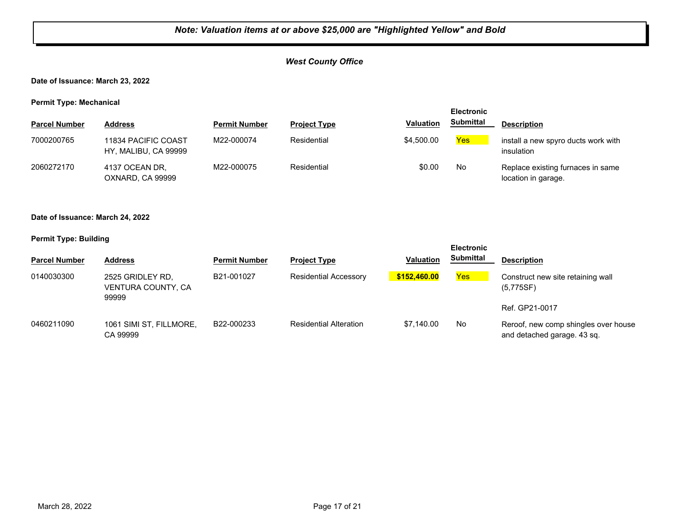## *West County Office*

## **Date of Issuance: March 23, 2022**

**Permit Type: Mechanical**

| . .                  |                                             |                      |                     |                  | <b>Electronic</b> |                                                          |
|----------------------|---------------------------------------------|----------------------|---------------------|------------------|-------------------|----------------------------------------------------------|
| <b>Parcel Number</b> | <b>Address</b>                              | <b>Permit Number</b> | <b>Project Type</b> | <b>Valuation</b> | Submittal         | <b>Description</b>                                       |
| 7000200765           | 11834 PACIFIC COAST<br>HY, MALIBU, CA 99999 | M22-000074           | Residential         | \$4,500.00       | Yes               | install a new spyro ducts work with<br>insulation        |
| 2060272170           | 4137 OCEAN DR.<br>OXNARD, CA 99999          | M22-000075           | Residential         | \$0.00           | No                | Replace existing furnaces in same<br>location in garage. |

#### **Date of Issuance: March 24, 2022**

| <b>Parcel Number</b> | <b>Address</b>                                  | <b>Permit Number</b> | <b>Project Type</b>           | <b>Valuation</b> | <b>Electronic</b><br><b>Submittal</b> | <b>Description</b>                                                  |
|----------------------|-------------------------------------------------|----------------------|-------------------------------|------------------|---------------------------------------|---------------------------------------------------------------------|
| 0140030300           | 2525 GRIDLEY RD.<br>VENTURA COUNTY, CA<br>99999 | B21-001027           | <b>Residential Accessory</b>  | \$152,460,00     | Yes                                   | Construct new site retaining wall<br>(5,775SF)                      |
|                      |                                                 |                      |                               |                  |                                       | Ref. GP21-0017                                                      |
| 0460211090           | 1061 SIMI ST, FILLMORE,<br>CA 99999             | B22-000233           | <b>Residential Alteration</b> | \$7.140.00       | No                                    | Reroof, new comp shingles over house<br>and detached garage. 43 sq. |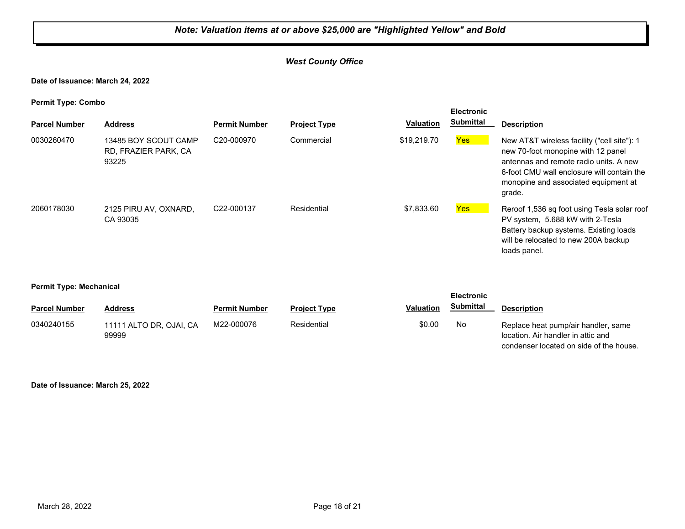## *West County Office*

**Date of Issuance: March 24, 2022**

**Permit Type: Combo**

| <b>Parcel Number</b> | <b>Address</b>                                        | <b>Permit Number</b>    | <b>Project Type</b> | <b>Valuation</b> | <b>Electronic</b><br><b>Submittal</b> | <b>Description</b>                                                                                                                                                                                                          |
|----------------------|-------------------------------------------------------|-------------------------|---------------------|------------------|---------------------------------------|-----------------------------------------------------------------------------------------------------------------------------------------------------------------------------------------------------------------------------|
| 0030260470           | 13485 BOY SCOUT CAMP<br>RD, FRAZIER PARK, CA<br>93225 | C <sub>20</sub> -000970 | Commercial          | \$19,219.70      | <b>Yes</b>                            | New AT&T wireless facility ("cell site"): 1<br>new 70-foot monopine with 12 panel<br>antennas and remote radio units. A new<br>6-foot CMU wall enclosure will contain the<br>monopine and associated equipment at<br>grade. |
| 2060178030           | 2125 PIRU AV. OXNARD.<br>CA 93035                     | C22-000137              | Residential         | \$7,833,60       | Yes                                   | Reroof 1,536 sq foot using Tesla solar roof<br>PV system, 5.688 kW with 2-Tesla<br>Battery backup systems. Existing loads<br>will be relocated to new 200A backup<br>loads panel.                                           |

#### **Permit Type: Mechanical**

| - -                  |                                  |                      |                     |                  | <b>Electronic</b> |                                                                                                                      |  |
|----------------------|----------------------------------|----------------------|---------------------|------------------|-------------------|----------------------------------------------------------------------------------------------------------------------|--|
| <b>Parcel Number</b> | <b>Address</b>                   | <b>Permit Number</b> | <b>Project Type</b> | <b>Valuation</b> | <b>Submittal</b>  | <b>Description</b>                                                                                                   |  |
| 0340240155           | 11111 ALTO DR. OJAI. CA<br>99999 | M22-000076           | Residential         | \$0.00           | No                | Replace heat pump/air handler, same<br>location. Air handler in attic and<br>condenser located on side of the house. |  |

**Date of Issuance: March 25, 2022**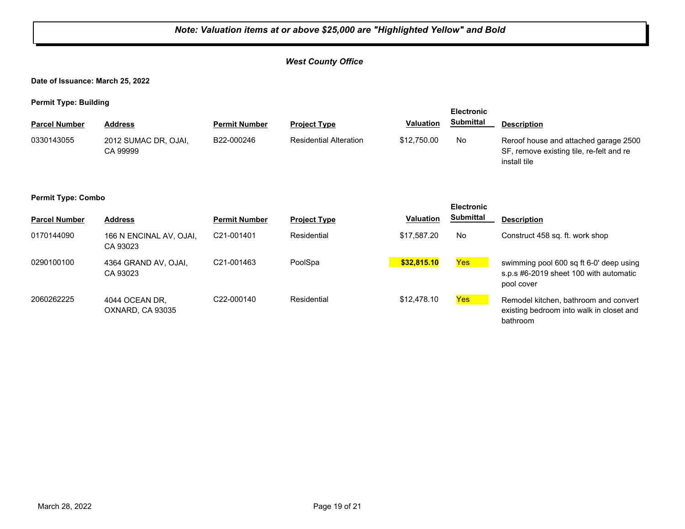## *West County Office*

**Date of Issuance: March 25, 2022**

| . .<br><b>Parcel Number</b>                    | <b>Address</b>                      | <b>Permit Number</b> | <b>Project Type</b>           | Valuation        | <b>Electronic</b><br><b>Submittal</b> | <b>Description</b>                                                                                |  |
|------------------------------------------------|-------------------------------------|----------------------|-------------------------------|------------------|---------------------------------------|---------------------------------------------------------------------------------------------------|--|
| 0330143055                                     | 2012 SUMAC DR, OJAI,<br>CA 99999    | B22-000246           | <b>Residential Alteration</b> | \$12,750.00      | <b>No</b>                             | Reroof house and attached garage 2500<br>SF, remove existing tile, re-felt and re<br>install tile |  |
| <b>Permit Type: Combo</b><br><b>Electronic</b> |                                     |                      |                               |                  |                                       |                                                                                                   |  |
| <b>Parcel Number</b>                           | <b>Address</b>                      | <b>Permit Number</b> | <b>Project Type</b>           | <b>Valuation</b> | <b>Submittal</b>                      | <b>Description</b>                                                                                |  |
| 0170144090                                     | 166 N ENCINAL AV, OJAI,<br>CA 93023 | C21-001401           | Residential                   | \$17,587.20      | <b>No</b>                             | Construct 458 sq. ft. work shop                                                                   |  |
| 0290100100                                     | 4364 GRAND AV, OJAI,<br>CA 93023    | C21-001463           | PoolSpa                       | \$32,815.10      | Yes                                   | swimming pool 600 sq ft 6-0' deep using<br>s.p.s #6-2019 sheet 100 with automatic<br>pool cover   |  |
| 2060262225                                     | 4044 OCEAN DR.<br>OXNARD, CA 93035  | C22-000140           | Residential                   | \$12,478.10      | Yes                                   | Remodel kitchen, bathroom and convert<br>existing bedroom into walk in closet and<br>bathroom     |  |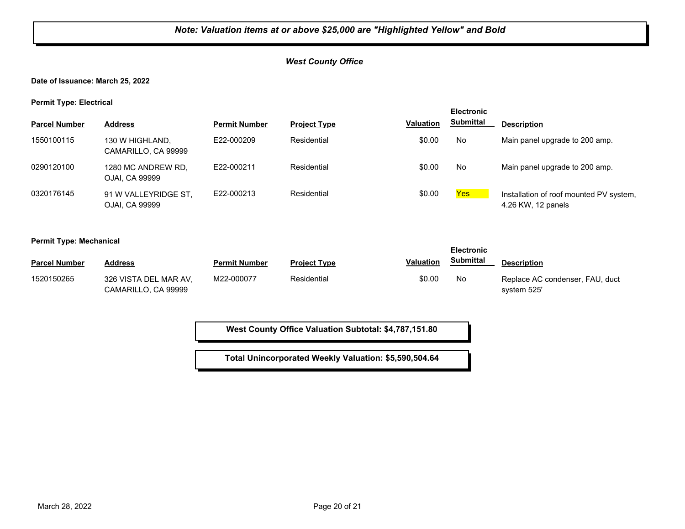## *West County Office*

**Date of Issuance: March 25, 2022**

**Permit Type: Electrical**

|                      |                                        |                      |                     |                  | <b>Electronic</b> |                                                               |
|----------------------|----------------------------------------|----------------------|---------------------|------------------|-------------------|---------------------------------------------------------------|
| <b>Parcel Number</b> | <b>Address</b>                         | <b>Permit Number</b> | <b>Project Type</b> | <b>Valuation</b> | <b>Submittal</b>  | <b>Description</b>                                            |
| 1550100115           | 130 W HIGHLAND,<br>CAMARILLO, CA 99999 | E22-000209           | Residential         | \$0.00           | No                | Main panel upgrade to 200 amp.                                |
| 0290120100           | 1280 MC ANDREW RD.<br>OJAI, CA 99999   | E22-000211           | Residential         | \$0.00           | No                | Main panel upgrade to 200 amp.                                |
| 0320176145           | 91 W VALLEYRIDGE ST,<br>OJAI, CA 99999 | E22-000213           | Residential         | \$0.00           | Yes               | Installation of roof mounted PV system,<br>4.26 KW, 12 panels |

#### **Permit Type: Mechanical**

|                      |                                              |                      |                     |                  | <b>Electronic</b> |                                                |
|----------------------|----------------------------------------------|----------------------|---------------------|------------------|-------------------|------------------------------------------------|
| <b>Parcel Number</b> | <b>Address</b>                               | <b>Permit Number</b> | <b>Project Type</b> | <b>Valuation</b> | <b>Submittal</b>  | <b>Description</b>                             |
| 1520150265           | 326 VISTA DEL MAR AV.<br>CAMARILLO, CA 99999 | M22-000077           | Residential         | \$0.00           | No                | Replace AC condenser, FAU, duct<br>system 525' |

**West County Office Valuation Subtotal: \$4,787,151.80**

**Total Unincorporated Weekly Valuation: \$5,590,504.64**